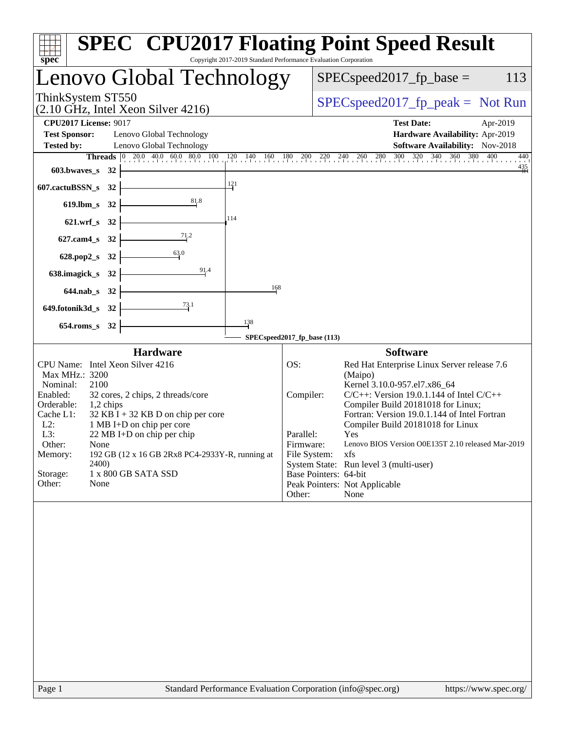| Copyright 2017-2019 Standard Performance Evaluation Corporation<br>spec                                                                                                                                                                                                                                                                                                                                                                              | <b>SPEC<sup>®</sup> CPU2017 Floating Point Speed Result</b>                                                                                                                                                                                                                                                                                                                                                                                                                                                                                   |
|------------------------------------------------------------------------------------------------------------------------------------------------------------------------------------------------------------------------------------------------------------------------------------------------------------------------------------------------------------------------------------------------------------------------------------------------------|-----------------------------------------------------------------------------------------------------------------------------------------------------------------------------------------------------------------------------------------------------------------------------------------------------------------------------------------------------------------------------------------------------------------------------------------------------------------------------------------------------------------------------------------------|
| Lenovo Global Technology                                                                                                                                                                                                                                                                                                                                                                                                                             | $SPEC speed2017_fp\_base =$<br>113                                                                                                                                                                                                                                                                                                                                                                                                                                                                                                            |
| ThinkSystem ST550<br>$(2.10 \text{ GHz}, \text{Intel Xeon Silver } 4216)$                                                                                                                                                                                                                                                                                                                                                                            | $SPEC speed2017fr peak = Not Run$                                                                                                                                                                                                                                                                                                                                                                                                                                                                                                             |
| <b>CPU2017 License: 9017</b><br><b>Test Sponsor:</b><br>Lenovo Global Technology<br>Lenovo Global Technology<br><b>Tested by:</b>                                                                                                                                                                                                                                                                                                                    | <b>Test Date:</b><br>Apr-2019<br>Hardware Availability: Apr-2019<br>Software Availability: Nov-2018                                                                                                                                                                                                                                                                                                                                                                                                                                           |
| 603.bwaves_s 32<br>121<br>607.cactuBSSN_s 32                                                                                                                                                                                                                                                                                                                                                                                                         | 260 280 300 320 340 360 380 400<br>$120$ $140$ $160$ $180$ $200$ $220$ $240$<br>440<br>$\frac{435}{11}$                                                                                                                                                                                                                                                                                                                                                                                                                                       |
| 81.8<br>619.lbm_s 32<br>114<br>621.wrf_s 32                                                                                                                                                                                                                                                                                                                                                                                                          |                                                                                                                                                                                                                                                                                                                                                                                                                                                                                                                                               |
| $\frac{71.2}{ }$<br>627.cam4_s 32<br>628.pop2_s 32<br>91.4<br>638.imagick_s 32<br>168<br>644.nab_s 32                                                                                                                                                                                                                                                                                                                                                |                                                                                                                                                                                                                                                                                                                                                                                                                                                                                                                                               |
| $\frac{73.1}{2}$<br>649.fotonik3d_s 32<br>138<br>654.roms_s 32                                                                                                                                                                                                                                                                                                                                                                                       | SPECspeed2017_fp_base (113)                                                                                                                                                                                                                                                                                                                                                                                                                                                                                                                   |
| <b>Hardware</b><br>CPU Name: Intel Xeon Silver 4216<br>Max MHz.: 3200<br>Nominal:<br>2100<br>32 cores, 2 chips, 2 threads/core<br>Enabled:<br>Orderable:<br>1,2 chips<br>Cache L1:<br>$32$ KB I + 32 KB D on chip per core<br>$L2$ :<br>1 MB I+D on chip per core<br>L3:<br>22 MB I+D on chip per chip<br>Other:<br>None<br>192 GB (12 x 16 GB 2Rx8 PC4-2933Y-R, running at<br>Memory:<br>2400)<br>Storage:<br>1 x 800 GB SATA SSD<br>Other:<br>None | <b>Software</b><br>Red Hat Enterprise Linux Server release 7.6<br>OS:<br>(Maipo)<br>Kernel 3.10.0-957.el7.x86_64<br>$C/C++$ : Version 19.0.1.144 of Intel $C/C++$<br>Compiler:<br>Compiler Build 20181018 for Linux;<br>Fortran: Version 19.0.1.144 of Intel Fortran<br>Compiler Build 20181018 for Linux<br>Parallel:<br>Yes<br>Lenovo BIOS Version O0E135T 2.10 released Mar-2019<br>Firmware:<br>File System:<br>xfs<br>System State: Run level 3 (multi-user)<br>Base Pointers: 64-bit<br>Peak Pointers: Not Applicable<br>Other:<br>None |
|                                                                                                                                                                                                                                                                                                                                                                                                                                                      |                                                                                                                                                                                                                                                                                                                                                                                                                                                                                                                                               |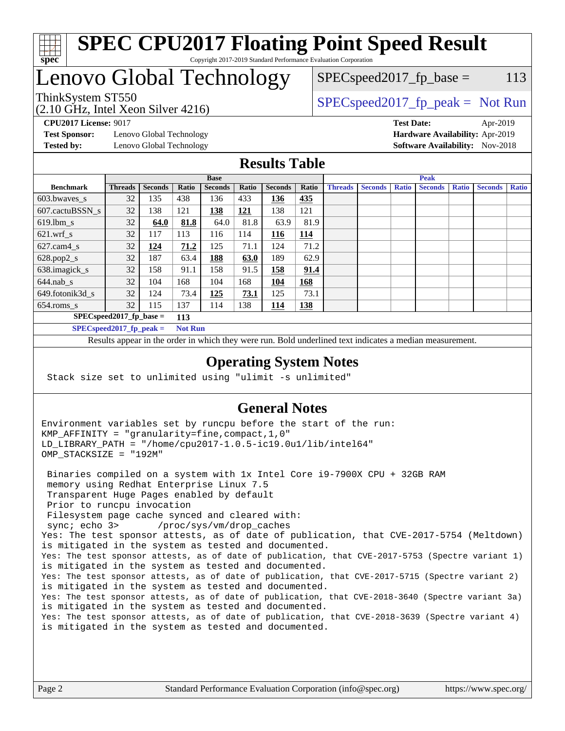

#### **[SPEC CPU2017 Floating Point Speed Result](http://www.spec.org/auto/cpu2017/Docs/result-fields.html#SPECCPU2017FloatingPointSpeedResult)** Copyright 2017-2019 Standard Performance Evaluation Corporation

# Lenovo Global Technology

 $SPEC speed2017<sub>fp</sub> base = 113$ 

(2.10 GHz, Intel Xeon Silver 4216)

ThinkSystem ST550  $SPIz$  [SPECspeed2017\\_fp\\_peak =](http://www.spec.org/auto/cpu2017/Docs/result-fields.html#SPECspeed2017fppeak) Not Run

**[Test Sponsor:](http://www.spec.org/auto/cpu2017/Docs/result-fields.html#TestSponsor)** Lenovo Global Technology **[Hardware Availability:](http://www.spec.org/auto/cpu2017/Docs/result-fields.html#HardwareAvailability)** Apr-2019 **[Tested by:](http://www.spec.org/auto/cpu2017/Docs/result-fields.html#Testedby)** Lenovo Global Technology **[Software Availability:](http://www.spec.org/auto/cpu2017/Docs/result-fields.html#SoftwareAvailability)** Nov-2018

**[CPU2017 License:](http://www.spec.org/auto/cpu2017/Docs/result-fields.html#CPU2017License)** 9017 **[Test Date:](http://www.spec.org/auto/cpu2017/Docs/result-fields.html#TestDate)** Apr-2019

#### **[Results Table](http://www.spec.org/auto/cpu2017/Docs/result-fields.html#ResultsTable)**

|                                   | <b>Base</b>    |                |             |                | <b>Peak</b> |                |            |                |                |              |                |              |                |              |
|-----------------------------------|----------------|----------------|-------------|----------------|-------------|----------------|------------|----------------|----------------|--------------|----------------|--------------|----------------|--------------|
| <b>Benchmark</b>                  | <b>Threads</b> | <b>Seconds</b> | Ratio       | <b>Seconds</b> | Ratio       | <b>Seconds</b> | Ratio      | <b>Threads</b> | <b>Seconds</b> | <b>Ratio</b> | <b>Seconds</b> | <b>Ratio</b> | <b>Seconds</b> | <b>Ratio</b> |
| 603.bwayes s                      | 32             | 135            | 438         | 136            | 433         | 136            | 435        |                |                |              |                |              |                |              |
| 607.cactuBSSN s                   | 32             | 138            | 121         | 138            | <u>121</u>  | 138            | 121        |                |                |              |                |              |                |              |
| $619.$ lbm_s                      | 32             | 64.0           | 81.8        | 64.0           | 81.8        | 63.9           | 81.9       |                |                |              |                |              |                |              |
| $621.wrf$ s                       | 32             | 117            | 113         | 116            | 114         | 116            | 114        |                |                |              |                |              |                |              |
| $627$ .cam4 s                     | 32             | 124            | <b>71.2</b> | 125            | 71.1        | 124            | 71.2       |                |                |              |                |              |                |              |
| $628.pop2_s$                      | 32             | 187            | 63.4        | 188            | 63.0        | 189            | 62.9       |                |                |              |                |              |                |              |
| 638.imagick_s                     | 32             | 158            | 91.1        | 158            | 91.5        | 158            | 91.4       |                |                |              |                |              |                |              |
| $644$ .nab s                      | 32             | 104            | 168         | 104            | 168         | 104            | 168        |                |                |              |                |              |                |              |
| 649.fotonik3d s                   | 32             | 124            | 73.4        | 125            | 73.1        | 125            | 73.1       |                |                |              |                |              |                |              |
| $654$ .roms s                     | 32             | 115            | 137         | 114            | 138         | 114            | <b>138</b> |                |                |              |                |              |                |              |
| $SPEC speed2017$ fp base =<br>113 |                |                |             |                |             |                |            |                |                |              |                |              |                |              |
| SPECspeed 2017 fp peak $=$        |                |                |             | <b>Not Run</b> |             |                |            |                |                |              |                |              |                |              |

Results appear in the [order in which they were run.](http://www.spec.org/auto/cpu2017/Docs/result-fields.html#RunOrder) Bold underlined text [indicates a median measurement](http://www.spec.org/auto/cpu2017/Docs/result-fields.html#Median).

#### **[Operating System Notes](http://www.spec.org/auto/cpu2017/Docs/result-fields.html#OperatingSystemNotes)**

Stack size set to unlimited using "ulimit -s unlimited"

#### **[General Notes](http://www.spec.org/auto/cpu2017/Docs/result-fields.html#GeneralNotes)**

Environment variables set by runcpu before the start of the run: KMP\_AFFINITY = "granularity=fine,compact,1,0" LD\_LIBRARY\_PATH = "/home/cpu2017-1.0.5-ic19.0u1/lib/intel64" OMP\_STACKSIZE = "192M"

 Binaries compiled on a system with 1x Intel Core i9-7900X CPU + 32GB RAM memory using Redhat Enterprise Linux 7.5 Transparent Huge Pages enabled by default Prior to runcpu invocation Filesystem page cache synced and cleared with: sync; echo 3> /proc/sys/vm/drop\_caches Yes: The test sponsor attests, as of date of publication, that CVE-2017-5754 (Meltdown) is mitigated in the system as tested and documented. Yes: The test sponsor attests, as of date of publication, that CVE-2017-5753 (Spectre variant 1) is mitigated in the system as tested and documented. Yes: The test sponsor attests, as of date of publication, that CVE-2017-5715 (Spectre variant 2) is mitigated in the system as tested and documented. Yes: The test sponsor attests, as of date of publication, that CVE-2018-3640 (Spectre variant 3a) is mitigated in the system as tested and documented. Yes: The test sponsor attests, as of date of publication, that CVE-2018-3639 (Spectre variant 4) is mitigated in the system as tested and documented.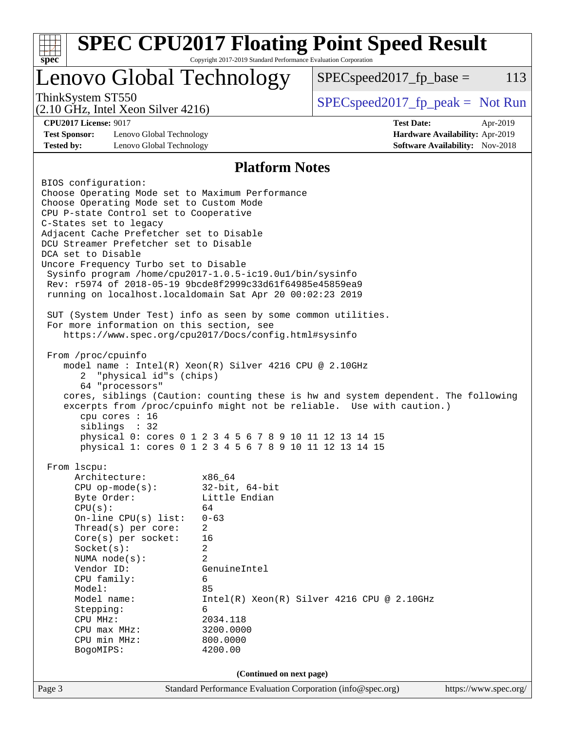| spec <sup>®</sup>                                                                                                                                                                                                                                                                                                                                                                                                                                                                                                                                                                                                                                                                                                                                                                                                                                                                                                                                                                                                                                                                                           | Copyright 2017-2019 Standard Performance Evaluation Corporation                                                                                                                                  | <b>SPEC CPU2017 Floating Point Speed Result</b> |                                 |          |  |  |  |  |
|-------------------------------------------------------------------------------------------------------------------------------------------------------------------------------------------------------------------------------------------------------------------------------------------------------------------------------------------------------------------------------------------------------------------------------------------------------------------------------------------------------------------------------------------------------------------------------------------------------------------------------------------------------------------------------------------------------------------------------------------------------------------------------------------------------------------------------------------------------------------------------------------------------------------------------------------------------------------------------------------------------------------------------------------------------------------------------------------------------------|--------------------------------------------------------------------------------------------------------------------------------------------------------------------------------------------------|-------------------------------------------------|---------------------------------|----------|--|--|--|--|
| Lenovo Global Technology                                                                                                                                                                                                                                                                                                                                                                                                                                                                                                                                                                                                                                                                                                                                                                                                                                                                                                                                                                                                                                                                                    |                                                                                                                                                                                                  | $SPEC speed2017fp base =$                       |                                 | 113      |  |  |  |  |
| ThinkSystem ST550<br>$(2.10 \text{ GHz}, \text{Intel Xeon Silver } 4216)$                                                                                                                                                                                                                                                                                                                                                                                                                                                                                                                                                                                                                                                                                                                                                                                                                                                                                                                                                                                                                                   |                                                                                                                                                                                                  | $SPEC speed2017_fp\_peak = Not Run$             |                                 |          |  |  |  |  |
| <b>CPU2017 License: 9017</b>                                                                                                                                                                                                                                                                                                                                                                                                                                                                                                                                                                                                                                                                                                                                                                                                                                                                                                                                                                                                                                                                                |                                                                                                                                                                                                  | <b>Test Date:</b>                               |                                 | Apr-2019 |  |  |  |  |
| <b>Test Sponsor:</b><br>Lenovo Global Technology                                                                                                                                                                                                                                                                                                                                                                                                                                                                                                                                                                                                                                                                                                                                                                                                                                                                                                                                                                                                                                                            |                                                                                                                                                                                                  |                                                 | Hardware Availability: Apr-2019 |          |  |  |  |  |
| Lenovo Global Technology<br><b>Tested by:</b>                                                                                                                                                                                                                                                                                                                                                                                                                                                                                                                                                                                                                                                                                                                                                                                                                                                                                                                                                                                                                                                               |                                                                                                                                                                                                  |                                                 | Software Availability: Nov-2018 |          |  |  |  |  |
|                                                                                                                                                                                                                                                                                                                                                                                                                                                                                                                                                                                                                                                                                                                                                                                                                                                                                                                                                                                                                                                                                                             | <b>Platform Notes</b>                                                                                                                                                                            |                                                 |                                 |          |  |  |  |  |
| BIOS configuration:<br>Choose Operating Mode set to Maximum Performance<br>Choose Operating Mode set to Custom Mode<br>CPU P-state Control set to Cooperative<br>C-States set to legacy<br>Adjacent Cache Prefetcher set to Disable<br>DCU Streamer Prefetcher set to Disable<br>DCA set to Disable<br>Uncore Frequency Turbo set to Disable<br>Sysinfo program /home/cpu2017-1.0.5-ic19.0ul/bin/sysinfo<br>Rev: r5974 of 2018-05-19 9bcde8f2999c33d61f64985e45859ea9<br>running on localhost. localdomain Sat Apr 20 00:02:23 2019<br>SUT (System Under Test) info as seen by some common utilities.<br>For more information on this section, see<br>https://www.spec.org/cpu2017/Docs/config.html#sysinfo<br>From /proc/cpuinfo<br>model name : Intel(R) Xeon(R) Silver 4216 CPU @ 2.10GHz<br>"physical id"s (chips)<br>2<br>64 "processors"<br>cores, siblings (Caution: counting these is hw and system dependent. The following<br>excerpts from /proc/cpuinfo might not be reliable. Use with caution.)<br>cpu cores : 16<br>siblings : 32<br>physical 0: cores 0 1 2 3 4 5 6 7 8 9 10 11 12 13 14 15 |                                                                                                                                                                                                  |                                                 |                                 |          |  |  |  |  |
| physical 1: cores 0 1 2 3 4 5 6 7 8 9 10 11 12 13 14 15<br>From 1scpu:                                                                                                                                                                                                                                                                                                                                                                                                                                                                                                                                                                                                                                                                                                                                                                                                                                                                                                                                                                                                                                      |                                                                                                                                                                                                  |                                                 |                                 |          |  |  |  |  |
| Architecture:<br>$CPU$ op-mode( $s$ ):<br>Byte Order:<br>CPU(s):<br>On-line CPU(s) list:<br>Thread(s) per core:<br>Core(s) per socket:<br>Socket(s):<br>NUMA $node(s):$<br>Vendor ID:<br>CPU family:<br>Model:<br>Model name:<br>Stepping:<br>CPU MHz:<br>CPU max MHz:<br>CPU min MHz:<br>BogoMIPS:                                                                                                                                                                                                                                                                                                                                                                                                                                                                                                                                                                                                                                                                                                                                                                                                         | x86_64<br>$32$ -bit, $64$ -bit<br>Little Endian<br>64<br>$0 - 63$<br>$\overline{a}$<br>16<br>2<br>$\overline{a}$<br>GenuineIntel<br>6<br>85<br>6<br>2034.118<br>3200.0000<br>800.0000<br>4200.00 | Intel(R) Xeon(R) Silver 4216 CPU @ 2.10GHz      |                                 |          |  |  |  |  |
|                                                                                                                                                                                                                                                                                                                                                                                                                                                                                                                                                                                                                                                                                                                                                                                                                                                                                                                                                                                                                                                                                                             | (Continued on next page)                                                                                                                                                                         |                                                 |                                 |          |  |  |  |  |
| Page 3                                                                                                                                                                                                                                                                                                                                                                                                                                                                                                                                                                                                                                                                                                                                                                                                                                                                                                                                                                                                                                                                                                      | Standard Performance Evaluation Corporation (info@spec.org)                                                                                                                                      |                                                 | https://www.spec.org/           |          |  |  |  |  |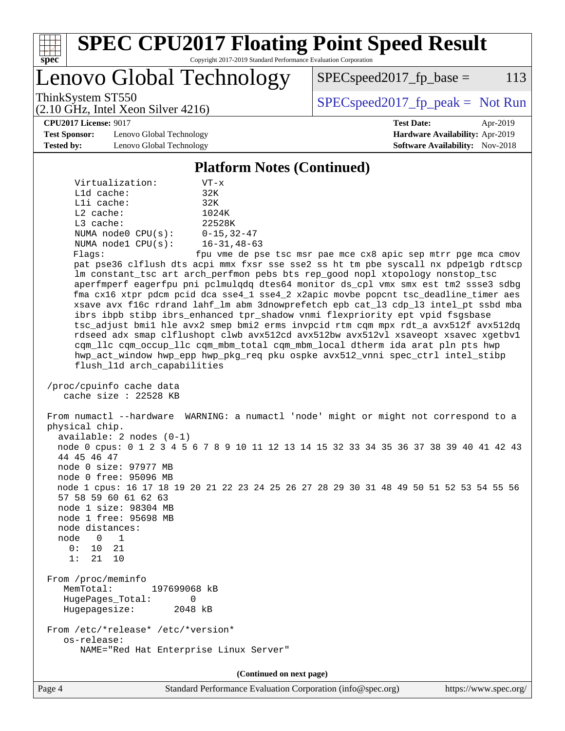

Page 4 Standard Performance Evaluation Corporation [\(info@spec.org\)](mailto:info@spec.org) <https://www.spec.org/>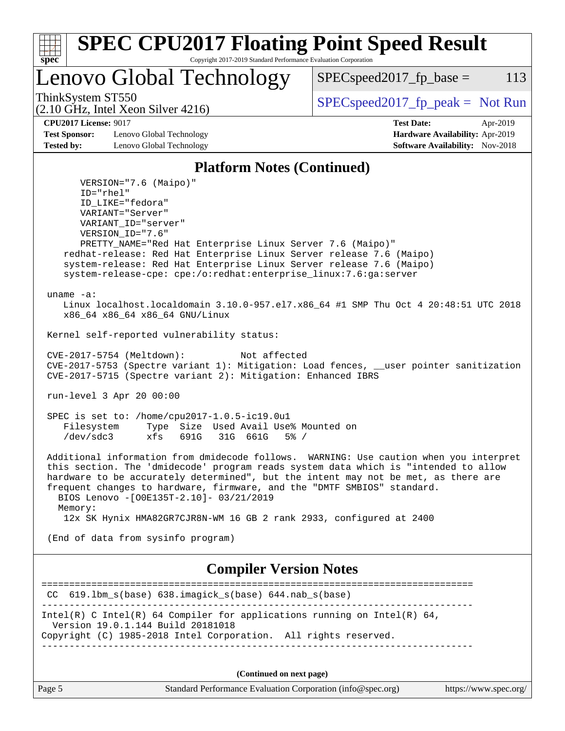| S | U | æ | Ľ |  |
|---|---|---|---|--|

#### **[SPEC CPU2017 Floating Point Speed Result](http://www.spec.org/auto/cpu2017/Docs/result-fields.html#SPECCPU2017FloatingPointSpeedResult)** Copyright 2017-2019 Standard Performance Evaluation Corporation

Lenovo Global Technology

ThinkSystem ST550  $SPEC speed2017_fpcak = Not Run$ 

 $SPEC speed2017_fp\_base = 113$ 

(2.10 GHz, Intel Xeon Silver 4216)

**[CPU2017 License:](http://www.spec.org/auto/cpu2017/Docs/result-fields.html#CPU2017License)** 9017 **[Test Date:](http://www.spec.org/auto/cpu2017/Docs/result-fields.html#TestDate)** Apr-2019 **[Test Sponsor:](http://www.spec.org/auto/cpu2017/Docs/result-fields.html#TestSponsor)** Lenovo Global Technology **[Hardware Availability:](http://www.spec.org/auto/cpu2017/Docs/result-fields.html#HardwareAvailability)** Apr-2019 **[Tested by:](http://www.spec.org/auto/cpu2017/Docs/result-fields.html#Testedby)** Lenovo Global Technology **[Software Availability:](http://www.spec.org/auto/cpu2017/Docs/result-fields.html#SoftwareAvailability)** Nov-2018

#### **[Platform Notes \(Continued\)](http://www.spec.org/auto/cpu2017/Docs/result-fields.html#PlatformNotes)**

 VERSION="7.6 (Maipo)" ID="rhel" ID\_LIKE="fedora" VARIANT="Server" VARIANT\_ID="server" VERSION\_ID="7.6" PRETTY\_NAME="Red Hat Enterprise Linux Server 7.6 (Maipo)" redhat-release: Red Hat Enterprise Linux Server release 7.6 (Maipo) system-release: Red Hat Enterprise Linux Server release 7.6 (Maipo) system-release-cpe: cpe:/o:redhat:enterprise\_linux:7.6:ga:server uname -a: Linux localhost.localdomain 3.10.0-957.el7.x86\_64 #1 SMP Thu Oct 4 20:48:51 UTC 2018 x86\_64 x86\_64 x86\_64 GNU/Linux Kernel self-reported vulnerability status: CVE-2017-5754 (Meltdown): Not affected CVE-2017-5753 (Spectre variant 1): Mitigation: Load fences, \_\_user pointer sanitization CVE-2017-5715 (Spectre variant 2): Mitigation: Enhanced IBRS run-level 3 Apr 20 00:00 SPEC is set to: /home/cpu2017-1.0.5-ic19.0u1 Filesystem Type Size Used Avail Use% Mounted on /dev/sdc3 xfs 691G 31G 661G 5% / Additional information from dmidecode follows. WARNING: Use caution when you interpret this section. The 'dmidecode' program reads system data which is "intended to allow hardware to be accurately determined", but the intent may not be met, as there are frequent changes to hardware, firmware, and the "DMTF SMBIOS" standard. BIOS Lenovo -[O0E135T-2.10]- 03/21/2019 Memory: 12x SK Hynix HMA82GR7CJR8N-WM 16 GB 2 rank 2933, configured at 2400 (End of data from sysinfo program) **[Compiler Version Notes](http://www.spec.org/auto/cpu2017/Docs/result-fields.html#CompilerVersionNotes)** ============================================================================== CC 619.lbm\_s(base) 638.imagick\_s(base) 644.nab\_s(base) ------------------------------------------------------------------------------ Intel(R) C Intel(R) 64 Compiler for applications running on Intel(R)  $64$ , Version 19.0.1.144 Build 20181018 Copyright (C) 1985-2018 Intel Corporation. All rights reserved. ------------------------------------------------------------------------------ **(Continued on next page)**

| Page 5 | Standard Performance Evaluation Corporation (info@spec.org) | https://www.spec.org/ |
|--------|-------------------------------------------------------------|-----------------------|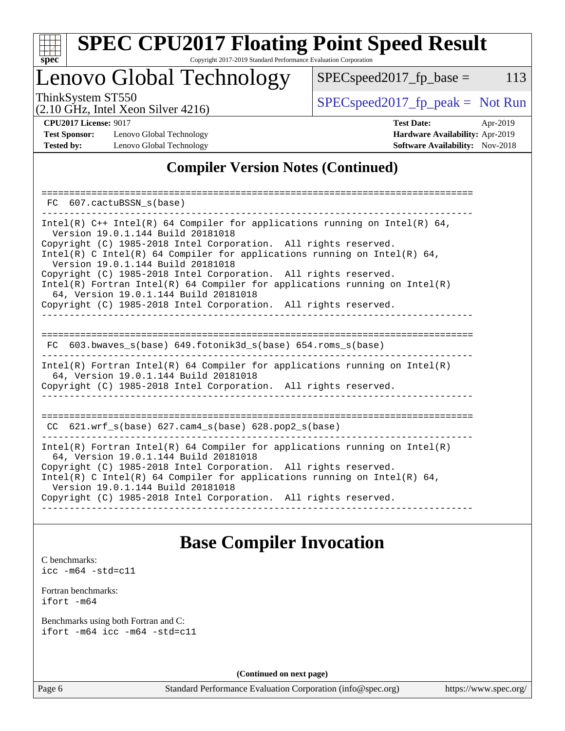

# **[SPEC CPU2017 Floating Point Speed Result](http://www.spec.org/auto/cpu2017/Docs/result-fields.html#SPECCPU2017FloatingPointSpeedResult)**

Copyright 2017-2019 Standard Performance Evaluation Corporation

## Lenovo Global Technology

ThinkSystem ST550<br>  $\begin{array}{r} \text{SPEC speed2017\_fp\_peak = Not Run} \\ \text{SPEC speed2017\_fp\_peak = Not Run} \end{array}$  $SPEC speed2017_fp\_base = 113$ 

(2.10 GHz, Intel Xeon Silver 4216)

**[Test Sponsor:](http://www.spec.org/auto/cpu2017/Docs/result-fields.html#TestSponsor)** Lenovo Global Technology **[Hardware Availability:](http://www.spec.org/auto/cpu2017/Docs/result-fields.html#HardwareAvailability)** Apr-2019 **[Tested by:](http://www.spec.org/auto/cpu2017/Docs/result-fields.html#Testedby)** Lenovo Global Technology **[Software Availability:](http://www.spec.org/auto/cpu2017/Docs/result-fields.html#SoftwareAvailability)** Nov-2018

**[CPU2017 License:](http://www.spec.org/auto/cpu2017/Docs/result-fields.html#CPU2017License)** 9017 **[Test Date:](http://www.spec.org/auto/cpu2017/Docs/result-fields.html#TestDate)** Apr-2019

### **[Compiler Version Notes \(Continued\)](http://www.spec.org/auto/cpu2017/Docs/result-fields.html#CompilerVersionNotes)**

| 607.cactuBSSN s(base)<br>FC.                                                                                                                                                                                                                                                                                                                                                                                                                                                                                                                                       |
|--------------------------------------------------------------------------------------------------------------------------------------------------------------------------------------------------------------------------------------------------------------------------------------------------------------------------------------------------------------------------------------------------------------------------------------------------------------------------------------------------------------------------------------------------------------------|
| Intel(R) $C++$ Intel(R) 64 Compiler for applications running on Intel(R) 64,<br>Version 19.0.1.144 Build 20181018<br>Copyright (C) 1985-2018 Intel Corporation. All rights reserved.<br>Intel(R) C Intel(R) 64 Compiler for applications running on Intel(R) 64,<br>Version 19.0.1.144 Build 20181018<br>Copyright (C) 1985-2018 Intel Corporation. All rights reserved.<br>Intel(R) Fortran Intel(R) 64 Compiler for applications running on Intel(R)<br>64, Version 19.0.1.144 Build 20181018<br>Copyright (C) 1985-2018 Intel Corporation. All rights reserved. |
| 603.bwaves $s(base)$ 649.fotonik3d $s(base)$ 654.roms $s(base)$<br>FC.<br>Intel(R) Fortran Intel(R) 64 Compiler for applications running on Intel(R)<br>64, Version 19.0.1.144 Build 20181018<br>Copyright (C) 1985-2018 Intel Corporation. All rights reserved.                                                                                                                                                                                                                                                                                                   |
| CC $621.$ wrf $s(base)$ 627.cam4 $s(base)$ 628.pop2 $s(base)$                                                                                                                                                                                                                                                                                                                                                                                                                                                                                                      |
| Intel(R) Fortran Intel(R) 64 Compiler for applications running on Intel(R)<br>64, Version 19.0.1.144 Build 20181018<br>Copyright (C) 1985-2018 Intel Corporation. All rights reserved.<br>Intel(R) C Intel(R) 64 Compiler for applications running on Intel(R) 64,<br>Version 19.0.1.144 Build 20181018<br>Copyright (C) 1985-2018 Intel Corporation. All rights reserved.                                                                                                                                                                                         |

## **[Base Compiler Invocation](http://www.spec.org/auto/cpu2017/Docs/result-fields.html#BaseCompilerInvocation)**

[C benchmarks](http://www.spec.org/auto/cpu2017/Docs/result-fields.html#Cbenchmarks): [icc -m64 -std=c11](http://www.spec.org/cpu2017/results/res2019q2/cpu2017-20190429-13087.flags.html#user_CCbase_intel_icc_64bit_c11_33ee0cdaae7deeeab2a9725423ba97205ce30f63b9926c2519791662299b76a0318f32ddfffdc46587804de3178b4f9328c46fa7c2b0cd779d7a61945c91cd35)

[Fortran benchmarks](http://www.spec.org/auto/cpu2017/Docs/result-fields.html#Fortranbenchmarks): [ifort -m64](http://www.spec.org/cpu2017/results/res2019q2/cpu2017-20190429-13087.flags.html#user_FCbase_intel_ifort_64bit_24f2bb282fbaeffd6157abe4f878425411749daecae9a33200eee2bee2fe76f3b89351d69a8130dd5949958ce389cf37ff59a95e7a40d588e8d3a57e0c3fd751)

[Benchmarks using both Fortran and C](http://www.spec.org/auto/cpu2017/Docs/result-fields.html#BenchmarksusingbothFortranandC): [ifort -m64](http://www.spec.org/cpu2017/results/res2019q2/cpu2017-20190429-13087.flags.html#user_CC_FCbase_intel_ifort_64bit_24f2bb282fbaeffd6157abe4f878425411749daecae9a33200eee2bee2fe76f3b89351d69a8130dd5949958ce389cf37ff59a95e7a40d588e8d3a57e0c3fd751) [icc -m64 -std=c11](http://www.spec.org/cpu2017/results/res2019q2/cpu2017-20190429-13087.flags.html#user_CC_FCbase_intel_icc_64bit_c11_33ee0cdaae7deeeab2a9725423ba97205ce30f63b9926c2519791662299b76a0318f32ddfffdc46587804de3178b4f9328c46fa7c2b0cd779d7a61945c91cd35)

**(Continued on next page)**

Page 6 Standard Performance Evaluation Corporation [\(info@spec.org\)](mailto:info@spec.org) <https://www.spec.org/>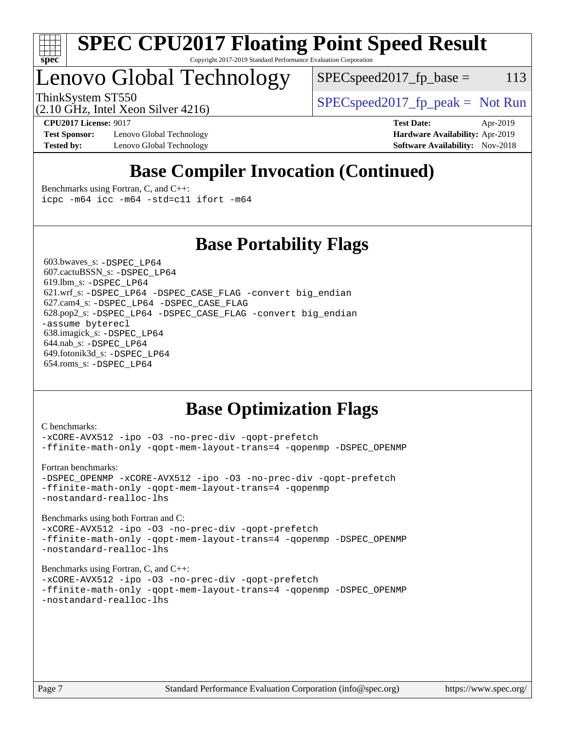

#### **[SPEC CPU2017 Floating Point Speed Result](http://www.spec.org/auto/cpu2017/Docs/result-fields.html#SPECCPU2017FloatingPointSpeedResult)** Copyright 2017-2019 Standard Performance Evaluation Corporation

# Lenovo Global Technology

 $SPEC speed2017_fp\_base = 113$ 

(2.10 GHz, Intel Xeon Silver 4216)

ThinkSystem ST550  $SPIz$  [SPECspeed2017\\_fp\\_peak =](http://www.spec.org/auto/cpu2017/Docs/result-fields.html#SPECspeed2017fppeak) Not Run

**[Test Sponsor:](http://www.spec.org/auto/cpu2017/Docs/result-fields.html#TestSponsor)** Lenovo Global Technology **[Hardware Availability:](http://www.spec.org/auto/cpu2017/Docs/result-fields.html#HardwareAvailability)** Apr-2019 **[Tested by:](http://www.spec.org/auto/cpu2017/Docs/result-fields.html#Testedby)** Lenovo Global Technology **[Software Availability:](http://www.spec.org/auto/cpu2017/Docs/result-fields.html#SoftwareAvailability)** Nov-2018

**[CPU2017 License:](http://www.spec.org/auto/cpu2017/Docs/result-fields.html#CPU2017License)** 9017 **[Test Date:](http://www.spec.org/auto/cpu2017/Docs/result-fields.html#TestDate)** Apr-2019

## **[Base Compiler Invocation \(Continued\)](http://www.spec.org/auto/cpu2017/Docs/result-fields.html#BaseCompilerInvocation)**

[Benchmarks using Fortran, C, and C++:](http://www.spec.org/auto/cpu2017/Docs/result-fields.html#BenchmarksusingFortranCandCXX) [icpc -m64](http://www.spec.org/cpu2017/results/res2019q2/cpu2017-20190429-13087.flags.html#user_CC_CXX_FCbase_intel_icpc_64bit_4ecb2543ae3f1412ef961e0650ca070fec7b7afdcd6ed48761b84423119d1bf6bdf5cad15b44d48e7256388bc77273b966e5eb805aefd121eb22e9299b2ec9d9) [icc -m64 -std=c11](http://www.spec.org/cpu2017/results/res2019q2/cpu2017-20190429-13087.flags.html#user_CC_CXX_FCbase_intel_icc_64bit_c11_33ee0cdaae7deeeab2a9725423ba97205ce30f63b9926c2519791662299b76a0318f32ddfffdc46587804de3178b4f9328c46fa7c2b0cd779d7a61945c91cd35) [ifort -m64](http://www.spec.org/cpu2017/results/res2019q2/cpu2017-20190429-13087.flags.html#user_CC_CXX_FCbase_intel_ifort_64bit_24f2bb282fbaeffd6157abe4f878425411749daecae9a33200eee2bee2fe76f3b89351d69a8130dd5949958ce389cf37ff59a95e7a40d588e8d3a57e0c3fd751)

### **[Base Portability Flags](http://www.spec.org/auto/cpu2017/Docs/result-fields.html#BasePortabilityFlags)**

 603.bwaves\_s: [-DSPEC\\_LP64](http://www.spec.org/cpu2017/results/res2019q2/cpu2017-20190429-13087.flags.html#suite_basePORTABILITY603_bwaves_s_DSPEC_LP64) 607.cactuBSSN\_s: [-DSPEC\\_LP64](http://www.spec.org/cpu2017/results/res2019q2/cpu2017-20190429-13087.flags.html#suite_basePORTABILITY607_cactuBSSN_s_DSPEC_LP64) 619.lbm\_s: [-DSPEC\\_LP64](http://www.spec.org/cpu2017/results/res2019q2/cpu2017-20190429-13087.flags.html#suite_basePORTABILITY619_lbm_s_DSPEC_LP64) 621.wrf\_s: [-DSPEC\\_LP64](http://www.spec.org/cpu2017/results/res2019q2/cpu2017-20190429-13087.flags.html#suite_basePORTABILITY621_wrf_s_DSPEC_LP64) [-DSPEC\\_CASE\\_FLAG](http://www.spec.org/cpu2017/results/res2019q2/cpu2017-20190429-13087.flags.html#b621.wrf_s_baseCPORTABILITY_DSPEC_CASE_FLAG) [-convert big\\_endian](http://www.spec.org/cpu2017/results/res2019q2/cpu2017-20190429-13087.flags.html#user_baseFPORTABILITY621_wrf_s_convert_big_endian_c3194028bc08c63ac5d04de18c48ce6d347e4e562e8892b8bdbdc0214820426deb8554edfa529a3fb25a586e65a3d812c835984020483e7e73212c4d31a38223) 627.cam4\_s: [-DSPEC\\_LP64](http://www.spec.org/cpu2017/results/res2019q2/cpu2017-20190429-13087.flags.html#suite_basePORTABILITY627_cam4_s_DSPEC_LP64) [-DSPEC\\_CASE\\_FLAG](http://www.spec.org/cpu2017/results/res2019q2/cpu2017-20190429-13087.flags.html#b627.cam4_s_baseCPORTABILITY_DSPEC_CASE_FLAG) 628.pop2\_s: [-DSPEC\\_LP64](http://www.spec.org/cpu2017/results/res2019q2/cpu2017-20190429-13087.flags.html#suite_basePORTABILITY628_pop2_s_DSPEC_LP64) [-DSPEC\\_CASE\\_FLAG](http://www.spec.org/cpu2017/results/res2019q2/cpu2017-20190429-13087.flags.html#b628.pop2_s_baseCPORTABILITY_DSPEC_CASE_FLAG) [-convert big\\_endian](http://www.spec.org/cpu2017/results/res2019q2/cpu2017-20190429-13087.flags.html#user_baseFPORTABILITY628_pop2_s_convert_big_endian_c3194028bc08c63ac5d04de18c48ce6d347e4e562e8892b8bdbdc0214820426deb8554edfa529a3fb25a586e65a3d812c835984020483e7e73212c4d31a38223) [-assume byterecl](http://www.spec.org/cpu2017/results/res2019q2/cpu2017-20190429-13087.flags.html#user_baseFPORTABILITY628_pop2_s_assume_byterecl_7e47d18b9513cf18525430bbf0f2177aa9bf368bc7a059c09b2c06a34b53bd3447c950d3f8d6c70e3faf3a05c8557d66a5798b567902e8849adc142926523472) 638.imagick\_s: [-DSPEC\\_LP64](http://www.spec.org/cpu2017/results/res2019q2/cpu2017-20190429-13087.flags.html#suite_basePORTABILITY638_imagick_s_DSPEC_LP64) 644.nab\_s: [-DSPEC\\_LP64](http://www.spec.org/cpu2017/results/res2019q2/cpu2017-20190429-13087.flags.html#suite_basePORTABILITY644_nab_s_DSPEC_LP64) 649.fotonik3d\_s: [-DSPEC\\_LP64](http://www.spec.org/cpu2017/results/res2019q2/cpu2017-20190429-13087.flags.html#suite_basePORTABILITY649_fotonik3d_s_DSPEC_LP64) 654.roms\_s: [-DSPEC\\_LP64](http://www.spec.org/cpu2017/results/res2019q2/cpu2017-20190429-13087.flags.html#suite_basePORTABILITY654_roms_s_DSPEC_LP64)

## **[Base Optimization Flags](http://www.spec.org/auto/cpu2017/Docs/result-fields.html#BaseOptimizationFlags)**

```
C benchmarks: 
-xCORE-AVX512 -ipo -O3 -no-prec-div -qopt-prefetch
-ffinite-math-only -qopt-mem-layout-trans=4 -qopenmp -DSPEC_OPENMP
Fortran benchmarks: 
-DSPEC_OPENMP -xCORE-AVX512 -ipo -O3 -no-prec-div -qopt-prefetch
-ffinite-math-only -qopt-mem-layout-trans=4 -qopenmp
-nostandard-realloc-lhs
Benchmarks using both Fortran and C: 
-xCORE-AVX512 -ipo -O3 -no-prec-div -qopt-prefetch
-ffinite-math-only -qopt-mem-layout-trans=4 -qopenmp -DSPEC_OPENMP
-nostandard-realloc-lhs
Benchmarks using Fortran, C, and C++: 
-xCORE-AVX512 -ipo -O3 -no-prec-div -qopt-prefetch
-ffinite-math-only -qopt-mem-layout-trans=4 -qopenmp -DSPEC_OPENMP
-nostandard-realloc-lhs
```